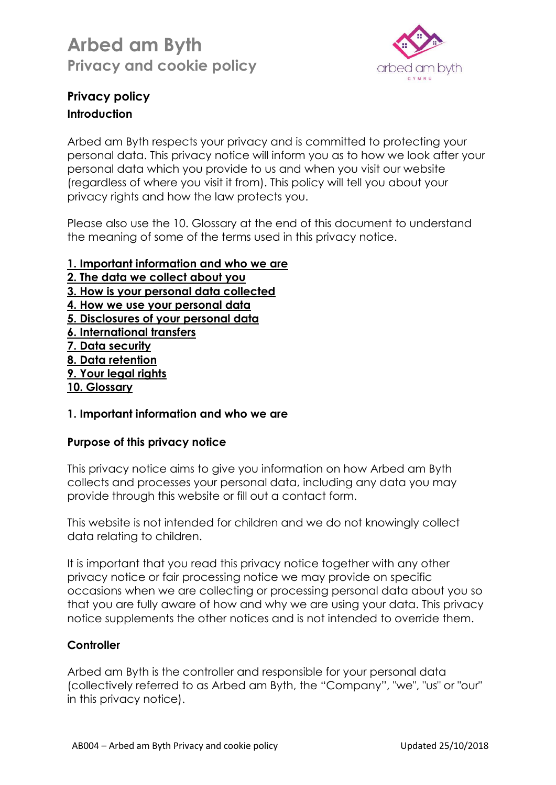

# **Privacy policy Introduction**

Arbed am Byth respects your privacy and is committed to protecting your personal data. This privacy notice will inform you as to how we look after your personal data which you provide to us and when you visit our website (regardless of where you visit it from). This policy will tell you about your privacy rights and how the law protects you.

Please also use the 10. Glossary at the end of this document to understand the meaning of some of the terms used in this privacy notice.

**1. Important information and who we are**

**2. The data we collect about you 3. How is your personal data collected 4. How we use your personal data 5. Disclosures of your personal data 6. International transfers 7. Data security 8. Data retention 9. Your legal rights 10. Glossary**

# **1. Important information and who we are**

# **Purpose of this privacy notice**

This privacy notice aims to give you information on how Arbed am Byth collects and processes your personal data, including any data you may provide through this website or fill out a contact form.

This website is not intended for children and we do not knowingly collect data relating to children.

It is important that you read this privacy notice together with any other privacy notice or fair processing notice we may provide on specific occasions when we are collecting or processing personal data about you so that you are fully aware of how and why we are using your data. This privacy notice supplements the other notices and is not intended to override them.

# **Controller**

Arbed am Byth is the controller and responsible for your personal data (collectively referred to as Arbed am Byth, the "Company", "we", "us" or "our" in this privacy notice).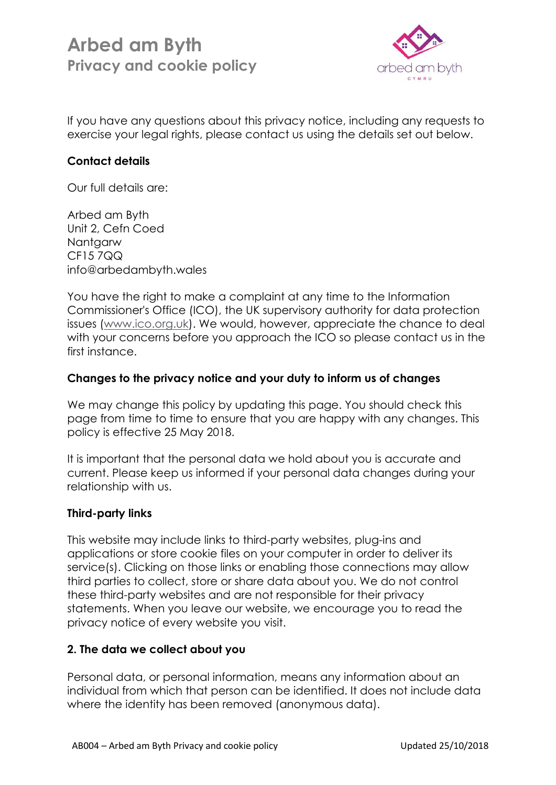

If you have any questions about this privacy notice, including any requests to exercise your legal rights, please contact us using the details set out below.

# **Contact details**

Our full details are:

Arbed am Byth Unit 2, Cefn Coed Nantaarw CF15 7QQ info@arbedambyth.wales

You have the right to make a complaint at any time to the Information Commissioner's Office (ICO), the UK supervisory authority for data protection issues [\(www.ico.org.uk\)](http://www.ico.org.uk/). We would, however, appreciate the chance to deal with your concerns before you approach the ICO so please contact us in the first instance.

# **Changes to the privacy notice and your duty to inform us of changes**

We may change this policy by updating this page. You should check this page from time to time to ensure that you are happy with any changes. This policy is effective 25 May 2018.

It is important that the personal data we hold about you is accurate and current. Please keep us informed if your personal data changes during your relationship with us.

# **Third-party links**

This website may include links to third-party websites, plug-ins and applications or store cookie files on your computer in order to deliver its service(s). Clicking on those links or enabling those connections may allow third parties to collect, store or share data about you. We do not control these third-party websites and are not responsible for their privacy statements. When you leave our website, we encourage you to read the privacy notice of every website you visit.

# **2. The data we collect about you**

Personal data, or personal information, means any information about an individual from which that person can be identified. It does not include data where the identity has been removed (anonymous data).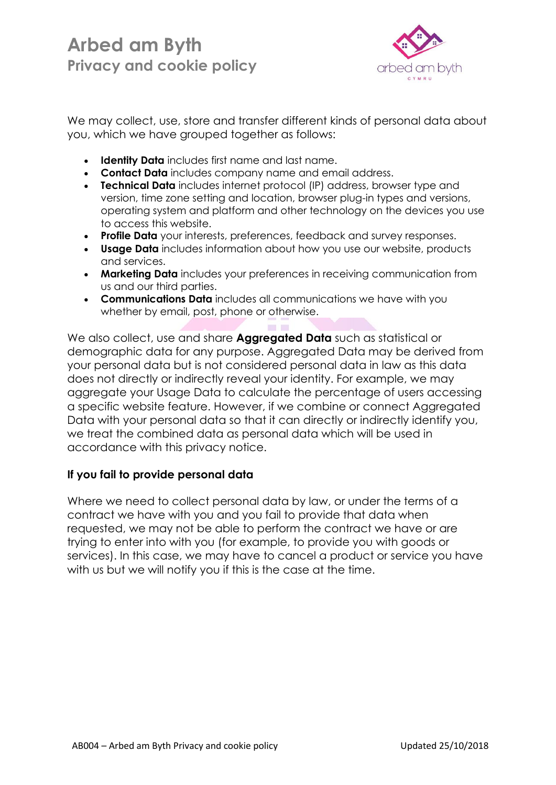

We may collect, use, store and transfer different kinds of personal data about you, which we have grouped together as follows:

- **Identity Data** includes first name and last name.
- **Contact Data** includes company name and email address.
- **Technical Data** includes internet protocol (IP) address, browser type and version, time zone setting and location, browser plug-in types and versions, operating system and platform and other technology on the devices you use to access this website.
- **Profile Data** your interests, preferences, feedback and survey responses.
- **Usage Data** includes information about how you use our website, products and services.
- **Marketing Data** includes your preferences in receiving communication from us and our third parties.
- **Communications Data** includes all communications we have with you whether by email, post, phone or otherwise.

We also collect, use and share **Aggregated Data** such as statistical or demographic data for any purpose. Aggregated Data may be derived from your personal data but is not considered personal data in law as this data does not directly or indirectly reveal your identity. For example, we may aggregate your Usage Data to calculate the percentage of users accessing a specific website feature. However, if we combine or connect Aggregated Data with your personal data so that it can directly or indirectly identify you, we treat the combined data as personal data which will be used in accordance with this privacy notice.

# **If you fail to provide personal data**

Where we need to collect personal data by law, or under the terms of a contract we have with you and you fail to provide that data when requested, we may not be able to perform the contract we have or are trying to enter into with you (for example, to provide you with goods or services). In this case, we may have to cancel a product or service you have with us but we will notify you if this is the case at the time.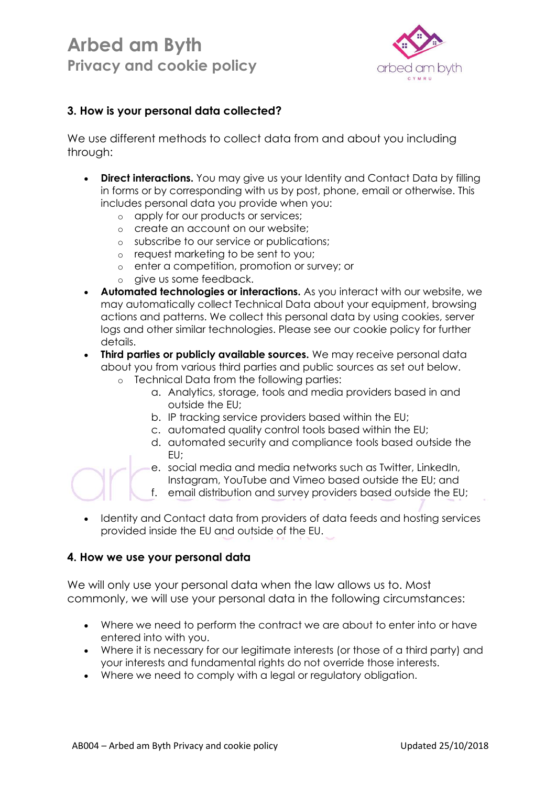

# **3. How is your personal data collected?**

We use different methods to collect data from and about you including through:

- **Direct interactions.** You may give us your Identity and Contact Data by filling in forms or by corresponding with us by post, phone, email or otherwise. This includes personal data you provide when you:
	- o apply for our products or services;
	- o create an account on our website;
	- o subscribe to our service or publications;
	- o request marketing to be sent to you;
	- o enter a competition, promotion or survey; or
	- o give us some feedback.
- **Automated technologies or interactions.** As you interact with our website, we may automatically collect Technical Data about your equipment, browsing actions and patterns. We collect this personal data by using cookies, server logs and other similar technologies. Please see our cookie policy for further details.
- **Third parties or publicly available sources.** We may receive personal data about you from various third parties and public sources as set out below.
	- o Technical Data from the following parties:
		- a. Analytics, storage, tools and media providers based in and outside the EU;
		- b. IP tracking service providers based within the EU;
		- c. automated quality control tools based within the EU;
		- d. automated security and compliance tools based outside the EU;
	- e. social media and media networks such as Twitter, LinkedIn, Instagram, YouTube and Vimeo based outside the EU; and
		- f. email distribution and survey providers based outside the EU;
- Identity and Contact data from providers of data feeds and hosting services provided inside the EU and outside of the EU.

#### **4. How we use your personal data**

We will only use your personal data when the law allows us to. Most commonly, we will use your personal data in the following circumstances:

- Where we need to perform the contract we are about to enter into or have entered into with you.
- Where it is necessary for our legitimate interests (or those of a third party) and your interests and fundamental rights do not override those interests.
- Where we need to comply with a legal or regulatory obligation.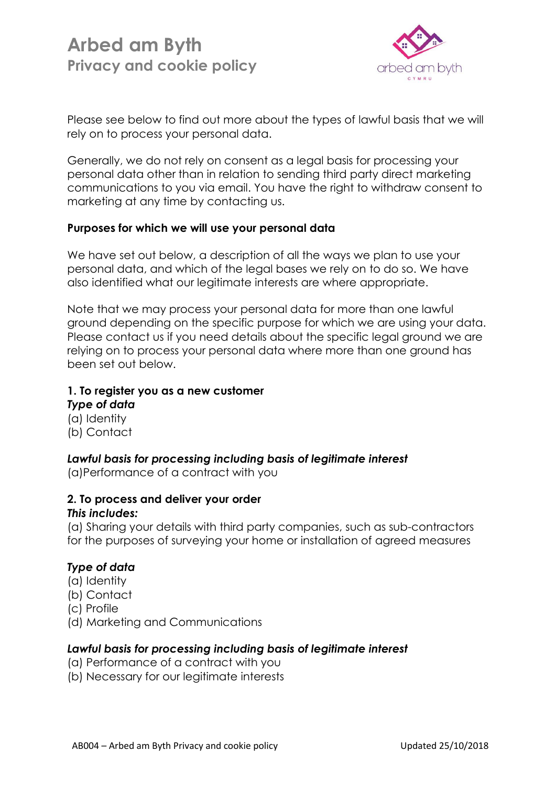

Please see below to find out more about the types of lawful basis that we will rely on to process your personal data.

Generally, we do not rely on consent as a legal basis for processing your personal data other than in relation to sending third party direct marketing communications to you via email. You have the right to withdraw consent to marketing at any time by contacting us.

#### **Purposes for which we will use your personal data**

We have set out below, a description of all the ways we plan to use your personal data, and which of the legal bases we rely on to do so. We have also identified what our legitimate interests are where appropriate.

Note that we may process your personal data for more than one lawful ground depending on the specific purpose for which we are using your data. Please contact us if you need details about the specific legal ground we are relying on to process your personal data where more than one ground has been set out below.

#### **1. To register you as a new customer**

*Type of data* (a) Identity (b) Contact

# *Lawful basis for processing including basis of legitimate interest*

(a)Performance of a contract with you

# **2. To process and deliver your order**

#### *This includes:*

(a) Sharing your details with third party companies, such as sub-contractors for the purposes of surveying your home or installation of agreed measures

# *Type of data*

- (a) Identity
- (b) Contact
- (c) Profile
- (d) Marketing and Communications

# *Lawful basis for processing including basis of legitimate interest*

- (a) Performance of a contract with you
- (b) Necessary for our legitimate interests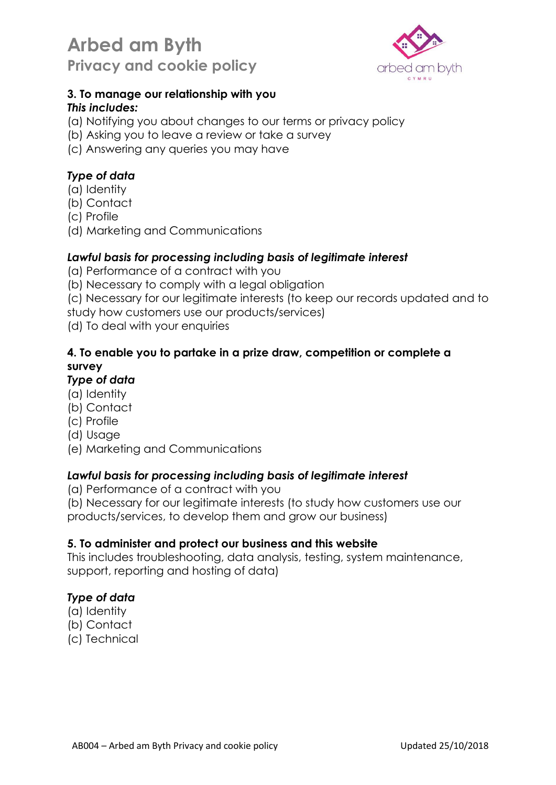

#### **3. To manage our relationship with you** *This includes:*

- (a) Notifying you about changes to our terms or privacy policy
- (b) Asking you to leave a review or take a survey
- (c) Answering any queries you may have

# *Type of data*

- (a) Identity
- (b) Contact
- (c) Profile
- (d) Marketing and Communications

# *Lawful basis for processing including basis of legitimate interest*

- (a) Performance of a contract with you
- (b) Necessary to comply with a legal obligation
- (c) Necessary for our legitimate interests (to keep our records updated and to
- study how customers use our products/services)
- (d) To deal with your enquiries

# **4. To enable you to partake in a prize draw, competition or complete a survey**

# *Type of data*

- (a) Identity
- (b) Contact
- (c) Profile
- (d) Usage
- (e) Marketing and Communications

# *Lawful basis for processing including basis of legitimate interest*

- (a) Performance of a contract with you
- (b) Necessary for our legitimate interests (to study how customers use our
- products/services, to develop them and grow our business)

# **5. To administer and protect our business and this website**

This includes troubleshooting, data analysis, testing, system maintenance, support, reporting and hosting of data)

# *Type of data*

- (a) Identity
- (b) Contact
- (c) Technical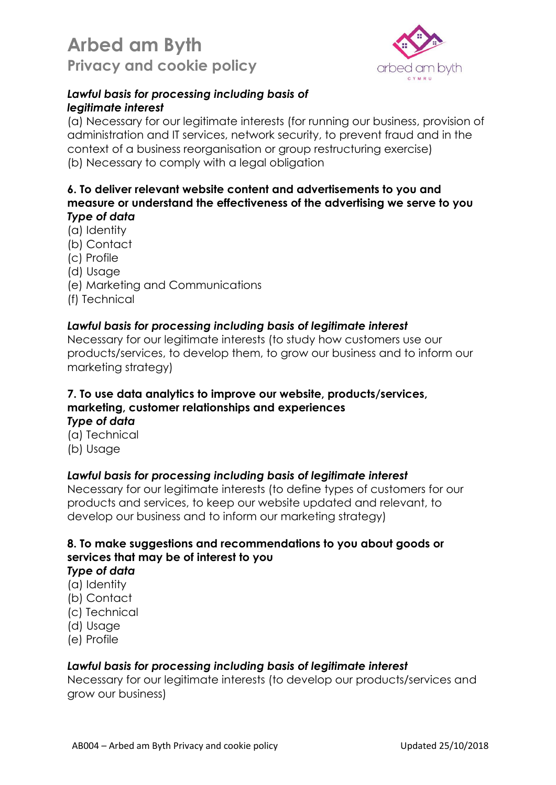

# *Lawful basis for processing including basis of legitimate interest*

(a) Necessary for our legitimate interests (for running our business, provision of administration and IT services, network security, to prevent fraud and in the context of a business reorganisation or group restructuring exercise) (b) Necessary to comply with a legal obligation

#### **6. To deliver relevant website content and advertisements to you and measure or understand the effectiveness of the advertising we serve to you** *Type of data*

- (a) Identity
- (b) Contact
- (c) Profile
- (d) Usage
- (e) Marketing and Communications
- (f) Technical

# *Lawful basis for processing including basis of legitimate interest*

Necessary for our legitimate interests (to study how customers use our products/services, to develop them, to grow our business and to inform our marketing strategy)

#### **7. To use data analytics to improve our website, products/services, marketing, customer relationships and experiences** *Type of data*

- (a) Technical
- (b) Usage

# *Lawful basis for processing including basis of legitimate interest*

Necessary for our legitimate interests (to define types of customers for our products and services, to keep our website updated and relevant, to develop our business and to inform our marketing strategy)

# **8. To make suggestions and recommendations to you about goods or services that may be of interest to you**

- *Type of data*
- (a) Identity
- (b) Contact
- (c) Technical
- (d) Usage
- (e) Profile

# *Lawful basis for processing including basis of legitimate interest*

Necessary for our legitimate interests (to develop our products/services and grow our business)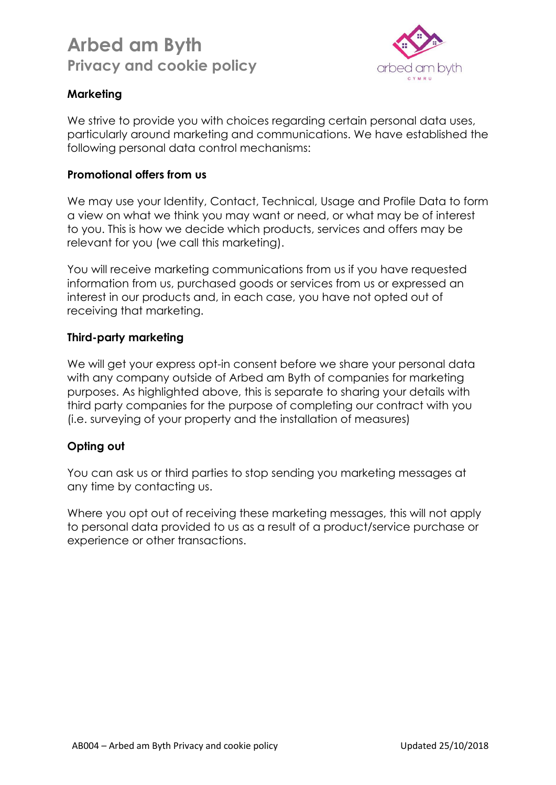

# **Marketing**

We strive to provide you with choices regarding certain personal data uses, particularly around marketing and communications. We have established the following personal data control mechanisms:

# **Promotional offers from us**

We may use your Identity, Contact, Technical, Usage and Profile Data to form a view on what we think you may want or need, or what may be of interest to you. This is how we decide which products, services and offers may be relevant for you (we call this marketing).

You will receive marketing communications from us if you have requested information from us, purchased goods or services from us or expressed an interest in our products and, in each case, you have not opted out of receiving that marketing.

# **Third-party marketing**

We will get your express opt-in consent before we share your personal data with any company outside of Arbed am Byth of companies for marketing purposes. As highlighted above, this is separate to sharing your details with third party companies for the purpose of completing our contract with you (i.e. surveying of your property and the installation of measures)

# **Opting out**

You can ask us or third parties to stop sending you marketing messages at any time by contacting us.

Where you opt out of receiving these marketing messages, this will not apply to personal data provided to us as a result of a product/service purchase or experience or other transactions.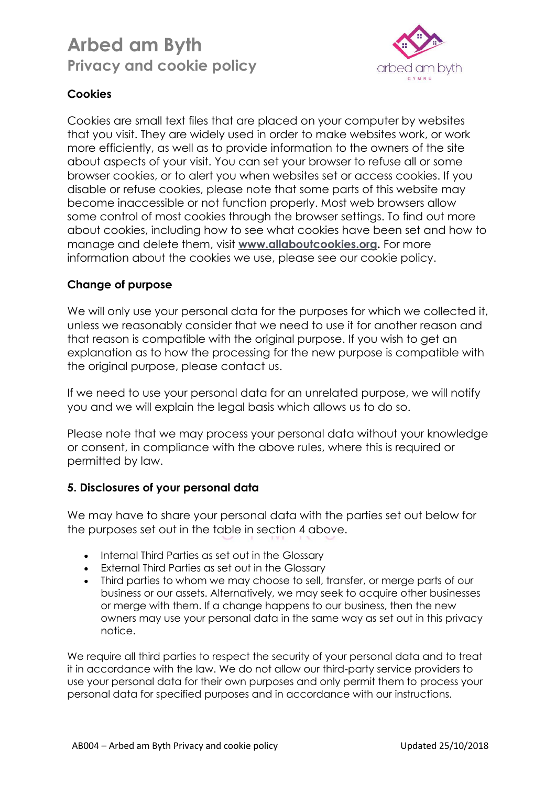

# **Cookies**

Cookies are small text files that are placed on your computer by websites that you visit. They are widely used in order to make websites work, or work more efficiently, as well as to provide information to the owners of the site about aspects of your visit. You can set your browser to refuse all or some browser cookies, or to alert you when websites set or access cookies. If you disable or refuse cookies, please note that some parts of this website may become inaccessible or not function properly. Most web browsers allow some control of most cookies through the browser settings. To find out more about cookies, including how to see what cookies have been set and how to manage and delete them, visit **[www.allaboutcookies.org.](http://www.allaboutcookies.org/)** For more information about the cookies we use, please see our cookie policy.

# **Change of purpose**

We will only use your personal data for the purposes for which we collected it, unless we reasonably consider that we need to use it for another reason and that reason is compatible with the original purpose. If you wish to get an explanation as to how the processing for the new purpose is compatible with the original purpose, please contact us.

If we need to use your personal data for an unrelated purpose, we will notify you and we will explain the legal basis which allows us to do so.

Please note that we may process your personal data without your knowledge or consent, in compliance with the above rules, where this is required or permitted by law.

# **5. Disclosures of your personal data**

We may have to share your personal data with the parties set out below for the purposes set out in the table in section 4 above.

- Internal Third Parties as set out in the Glossary
- External Third Parties as set out in the Glossary
- Third parties to whom we may choose to sell, transfer, or merge parts of our business or our assets. Alternatively, we may seek to acquire other businesses or merge with them. If a change happens to our business, then the new owners may use your personal data in the same way as set out in this privacy notice.

We require all third parties to respect the security of your personal data and to treat it in accordance with the law. We do not allow our third-party service providers to use your personal data for their own purposes and only permit them to process your personal data for specified purposes and in accordance with our instructions.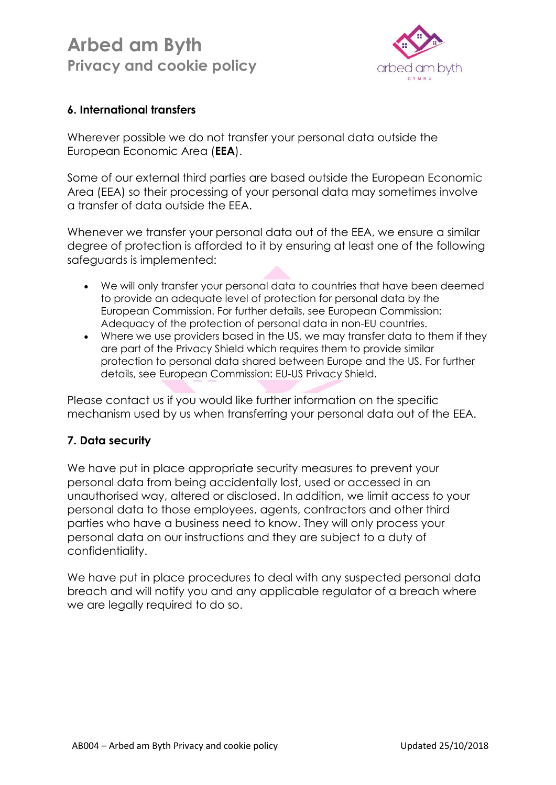

# **6. International transfers**

Wherever possible we do not transfer your personal data outside the European Economic Area (**EEA**).

Some of our external third parties are based outside the European Economic Area (EEA) so their processing of your personal data may sometimes involve a transfer of data outside the EEA.

Whenever we transfer your personal data out of the EEA, we ensure a similar degree of protection is afforded to it by ensuring at least one of the following safeguards is implemented:

- We will only transfer your personal data to countries that have been deemed to provide an adequate level of protection for personal data by the European Commission. For further details, see European Commission: Adequacy of the protection of personal data in non-EU countries.
- Where we use providers based in the US, we may transfer data to them if they are part of the Privacy Shield which requires them to provide similar protection to personal data shared between Europe and the US. For further details, see European Commission: EU-US Privacy Shield.

Please contact us if you would like further information on the specific mechanism used by us when transferring your personal data out of the EEA.

# **7. Data security**

We have put in place appropriate security measures to prevent your personal data from being accidentally lost, used or accessed in an unauthorised way, altered or disclosed. In addition, we limit access to your personal data to those employees, agents, contractors and other third parties who have a business need to know. They will only process your personal data on our instructions and they are subject to a duty of confidentiality.

We have put in place procedures to deal with any suspected personal data breach and will notify you and any applicable regulator of a breach where we are legally required to do so.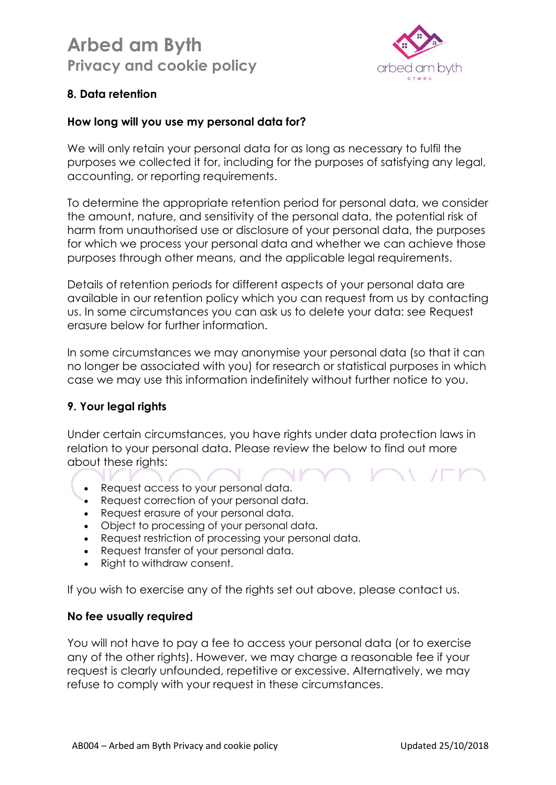

# **8. Data retention**

# **How long will you use my personal data for?**

We will only retain your personal data for as long as necessary to fulfil the purposes we collected it for, including for the purposes of satisfying any legal, accounting, or reporting requirements.

To determine the appropriate retention period for personal data, we consider the amount, nature, and sensitivity of the personal data, the potential risk of harm from unauthorised use or disclosure of your personal data, the purposes for which we process your personal data and whether we can achieve those purposes through other means, and the applicable legal requirements.

Details of retention periods for different aspects of your personal data are available in our retention policy which you can request from us by contacting us. In some circumstances you can ask us to delete your data: see Request erasure below for further information.

In some circumstances we may anonymise your personal data (so that it can no longer be associated with you) for research or statistical purposes in which case we may use this information indefinitely without further notice to you.

# **9. Your legal rights**

Under certain circumstances, you have rights under data protection laws in relation to your personal data. Please review the below to find out more about these rights: VK \\ / F*Y* 

- Request access to your personal data.
- Request correction of your personal data.
- Request erasure of your personal data.
- Object to processing of your personal data.
- Request restriction of processing your personal data.
- Request transfer of your personal data.
- Right to withdraw consent.

If you wish to exercise any of the rights set out above, please contact us.

# **No fee usually required**

You will not have to pay a fee to access your personal data (or to exercise any of the other rights). However, we may charge a reasonable fee if your request is clearly unfounded, repetitive or excessive. Alternatively, we may refuse to comply with your request in these circumstances.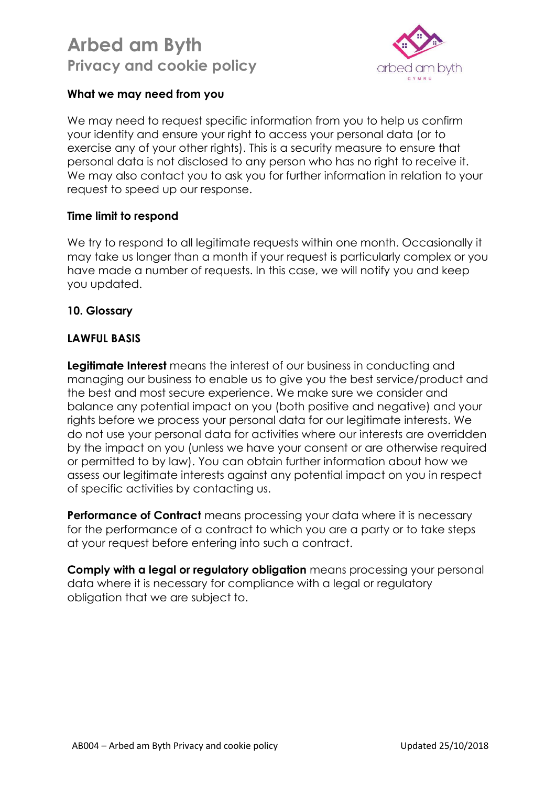

# **What we may need from you**

We may need to request specific information from you to help us confirm your identity and ensure your right to access your personal data (or to exercise any of your other rights). This is a security measure to ensure that personal data is not disclosed to any person who has no right to receive it. We may also contact you to ask you for further information in relation to your request to speed up our response.

# **Time limit to respond**

We try to respond to all legitimate requests within one month. Occasionally it may take us longer than a month if your request is particularly complex or you have made a number of requests. In this case, we will notify you and keep you updated.

# **10. Glossary**

# **LAWFUL BASIS**

**Legitimate Interest** means the interest of our business in conducting and managing our business to enable us to give you the best service/product and the best and most secure experience. We make sure we consider and balance any potential impact on you (both positive and negative) and your rights before we process your personal data for our legitimate interests. We do not use your personal data for activities where our interests are overridden by the impact on you (unless we have your consent or are otherwise required or permitted to by law). You can obtain further information about how we assess our legitimate interests against any potential impact on you in respect of specific activities by contacting us.

**Performance of Contract** means processing your data where it is necessary for the performance of a contract to which you are a party or to take steps at your request before entering into such a contract.

**Comply with a legal or regulatory obligation** means processing your personal data where it is necessary for compliance with a legal or regulatory obligation that we are subject to.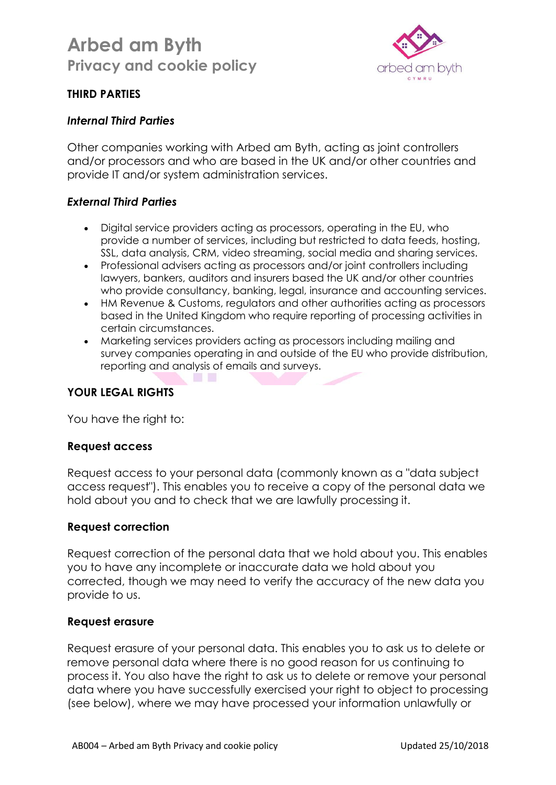

# **THIRD PARTIES**

# *Internal Third Parties*

Other companies working with Arbed am Byth, acting as joint controllers and/or processors and who are based in the UK and/or other countries and provide IT and/or system administration services.

#### *External Third Parties*

- Digital service providers acting as processors, operating in the EU, who provide a number of services, including but restricted to data feeds, hosting, SSL, data analysis, CRM, video streaming, social media and sharing services.
- Professional advisers acting as processors and/or joint controllers including lawyers, bankers, auditors and insurers based the UK and/or other countries who provide consultancy, banking, legal, insurance and accounting services.
- HM Revenue & Customs, regulators and other authorities acting as processors based in the United Kingdom who require reporting of processing activities in certain circumstances.
- Marketing services providers acting as processors including mailing and survey companies operating in and outside of the EU who provide distribution, reporting and analysis of emails and surveys.

# **YOUR LEGAL RIGHTS**

You have the right to:

# **Request access**

Request access to your personal data (commonly known as a "data subject access request"). This enables you to receive a copy of the personal data we hold about you and to check that we are lawfully processing it.

# **Request correction**

Request correction of the personal data that we hold about you. This enables you to have any incomplete or inaccurate data we hold about you corrected, though we may need to verify the accuracy of the new data you provide to us.

#### **Request erasure**

Request erasure of your personal data. This enables you to ask us to delete or remove personal data where there is no good reason for us continuing to process it. You also have the right to ask us to delete or remove your personal data where you have successfully exercised your right to object to processing (see below), where we may have processed your information unlawfully or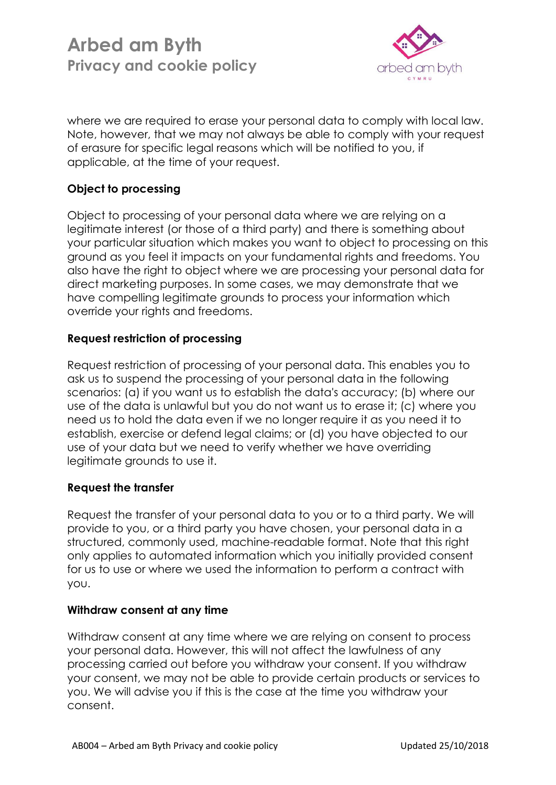

where we are required to erase your personal data to comply with local law. Note, however, that we may not always be able to comply with your request of erasure for specific legal reasons which will be notified to you, if applicable, at the time of your request.

# **Object to processing**

Object to processing of your personal data where we are relying on a legitimate interest (or those of a third party) and there is something about your particular situation which makes you want to object to processing on this ground as you feel it impacts on your fundamental rights and freedoms. You also have the right to object where we are processing your personal data for direct marketing purposes. In some cases, we may demonstrate that we have compelling legitimate grounds to process your information which override your rights and freedoms.

# **Request restriction of processing**

Request restriction of processing of your personal data. This enables you to ask us to suspend the processing of your personal data in the following scenarios: (a) if you want us to establish the data's accuracy; (b) where our use of the data is unlawful but you do not want us to erase it; (c) where you need us to hold the data even if we no longer require it as you need it to establish, exercise or defend legal claims; or (d) you have objected to our use of your data but we need to verify whether we have overriding legitimate grounds to use it.

# **Request the transfer**

Request the transfer of your personal data to you or to a third party. We will provide to you, or a third party you have chosen, your personal data in a structured, commonly used, machine-readable format. Note that this right only applies to automated information which you initially provided consent for us to use or where we used the information to perform a contract with you.

#### **Withdraw consent at any time**

Withdraw consent at any time where we are relying on consent to process your personal data. However, this will not affect the lawfulness of any processing carried out before you withdraw your consent. If you withdraw your consent, we may not be able to provide certain products or services to you. We will advise you if this is the case at the time you withdraw your consent.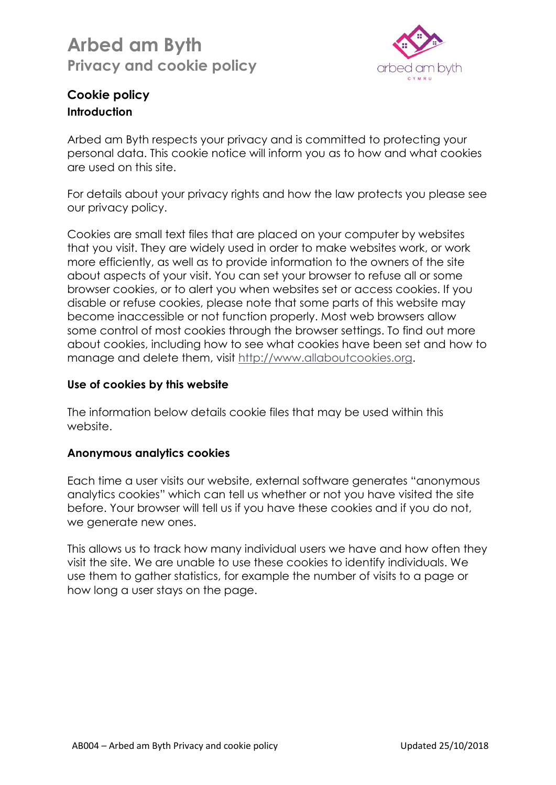

# **Cookie policy Introduction**

Arbed am Byth respects your privacy and is committed to protecting your personal data. This cookie notice will inform you as to how and what cookies are used on this site.

For details about your privacy rights and how the law protects you please see our privacy policy.

Cookies are small text files that are placed on your computer by websites that you visit. They are widely used in order to make websites work, or work more efficiently, as well as to provide information to the owners of the site about aspects of your visit. You can set your browser to refuse all or some browser cookies, or to alert you when websites set or access cookies. If you disable or refuse cookies, please note that some parts of this website may become inaccessible or not function properly. Most web browsers allow some control of most cookies through the browser settings. To find out more about cookies, including how to see what cookies have been set and how to manage and delete them, visit [http://www.allaboutcookies.org.](http://www.allaboutcookies.org/)

#### **Use of cookies by this website**

The information below details cookie files that may be used within this website.

# **Anonymous analytics cookies**

Each time a user visits our website, external software generates "anonymous analytics cookies" which can tell us whether or not you have visited the site before. Your browser will tell us if you have these cookies and if you do not, we generate new ones.

This allows us to track how many individual users we have and how often they visit the site. We are unable to use these cookies to identify individuals. We use them to gather statistics, for example the number of visits to a page or how long a user stays on the page.